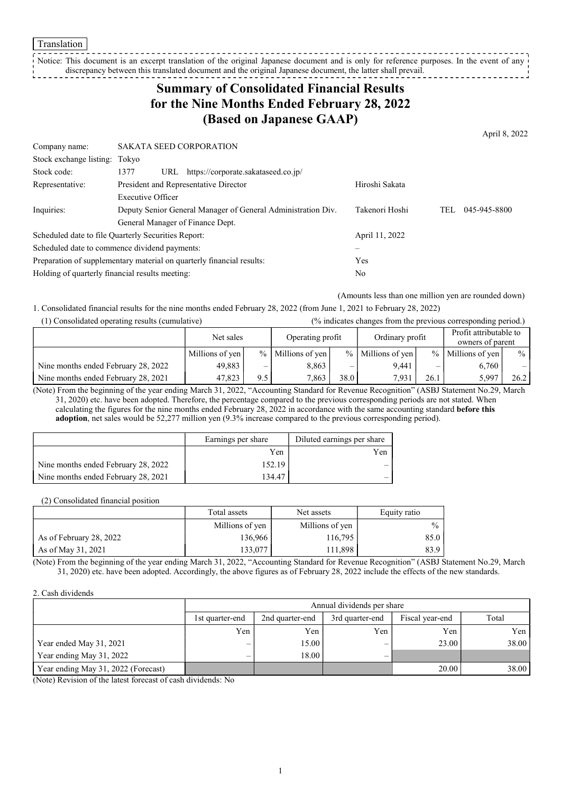Translation

Notice: This document is an excerpt translation of the original Japanese document and is only for reference purposes. In the event of any discrepancy between this translated document and the original Japanese document, the latter shall prevail.

## Summary of Consolidated Financial Results for the Nine Months Ended February 28, 2022 (Based on Japanese GAAP)

April 8, 2022

Company name: SAKATA SEED CORPORATION Stock exchange listing: Tokyo Stock code: 1377 URL https://corporate.sakataseed.co.jp/ Representative: President and Representative Director First Representative Biroshi Sakata Inquiries: Executive Officer Deputy Senior General Manager of General Administration Div. General Manager of Finance Dept. Takenori Hoshi TEL 045-945-8800 Scheduled date to file Ouarterly Securities Report: April 11, 2022 Scheduled date to commence dividend payments: Preparation of supplementary material on quarterly financial results: Yes Holding of quarterly financial results meeting: No

(Amounts less than one million yen are rounded down)

1. Consolidated financial results for the nine months ended February 28, 2022 (from June 1, 2021 to February 28, 2022)

| (1) Consolidated operating results (cumulative) |                 |     |                     |      | (% indicates changes from the previous corresponding period.) |               |                                            |               |
|-------------------------------------------------|-----------------|-----|---------------------|------|---------------------------------------------------------------|---------------|--------------------------------------------|---------------|
|                                                 | Net sales       |     | Operating profit    |      | Ordinary profit                                               |               | Profit attributable to<br>owners of parent |               |
|                                                 | Millions of yen |     | $%$ Millions of yen |      | $%$ Millions of yen                                           | $\frac{9}{6}$ | Millions of yen                            | $\frac{0}{0}$ |
| Nine months ended February 28, 2022             | 49,883          | –   | 8.863               | _    | 9.441                                                         |               | 6,760                                      |               |
| Nine months ended February 28, 2021             | 47.823          | 9.5 | 7.863               | 38.0 | 7.931                                                         | 26.1          | 5,997                                      | 26.2          |

(Note) From the beginning of the year ending March 31, 2022, "Accounting Standard for Revenue Recognition" (ASBJ Statement No.29, March 31, 2020) etc. have been adopted. Therefore, the percentage compared to the previous corresponding periods are not stated. When calculating the figures for the nine months ended February 28, 2022 in accordance with the same accounting standard **before this** adoption, net sales would be 52,277 million yen (9.3% increase compared to the previous corresponding period).

|                                     | Earnings per share | Diluted earnings per share |
|-------------------------------------|--------------------|----------------------------|
|                                     | Yen                | Yen                        |
| Nine months ended February 28, 2022 | 152.19             |                            |
| Nine months ended February 28, 2021 | 134.47             |                            |

(2) Consolidated financial position

|                         | Total assets    | Net assets      |               |
|-------------------------|-----------------|-----------------|---------------|
|                         | Millions of yen | Millions of yen | $\frac{0}{0}$ |
| As of February 28, 2022 | 136,966         | 116,795         | 85.0          |
| As of May 31, 2021      | 133.077         | 11,898          | 83.9          |

(Note) From the beginning of the year ending March 31, 2022, "Accounting Standard for Revenue Recognition" (ASBJ Statement No.29, March 31, 2020) etc. have been adopted. Accordingly, the above figures as of February 28, 2022 include the effects of the new standards.

#### 2. Cash dividends

|                                     |                 | Annual dividends per share |                 |                 |       |  |  |  |
|-------------------------------------|-----------------|----------------------------|-----------------|-----------------|-------|--|--|--|
|                                     | 1st quarter-end | 2nd quarter-end            | 3rd quarter-end | Fiscal year-end | Total |  |  |  |
|                                     | Yen             | Yen                        | Yen             | Yen             | Yen   |  |  |  |
| Year ended May 31, 2021             | —               | 15.00                      | –               | 23.00           | 38.00 |  |  |  |
| Year ending May 31, 2022            | —               | 18.00                      |                 |                 |       |  |  |  |
| Year ending May 31, 2022 (Forecast) |                 |                            |                 | 20.00           | 38.00 |  |  |  |

(Note) Revision of the latest forecast of cash dividends: No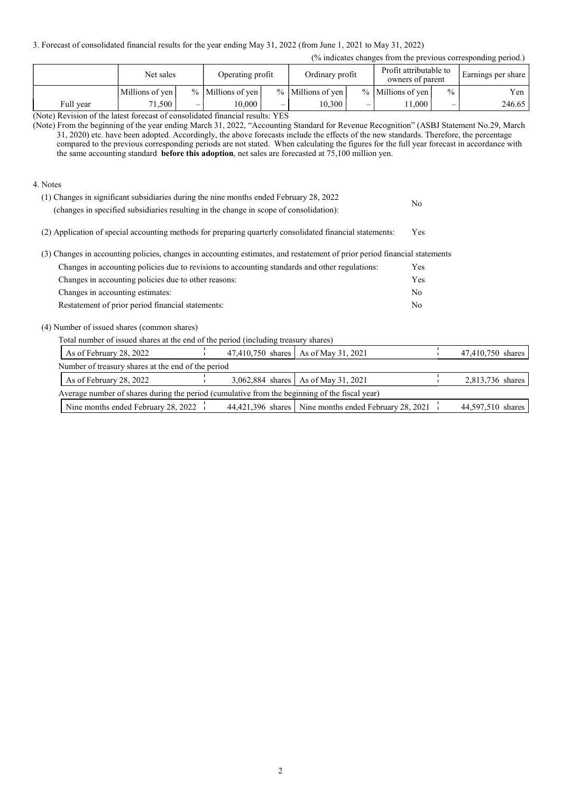3. Forecast of consolidated financial results for the year ending May 31, 2022 (from June 1, 2021 to May 31, 2022)

| $\%$ indicates changes from the previous corresponding period.) |  |  |  |
|-----------------------------------------------------------------|--|--|--|
|                                                                 |  |  |  |

| (% indicates changes from the previous corresponding period.) |                 |                          |                       |  |                       |   |                                            |               |                    |
|---------------------------------------------------------------|-----------------|--------------------------|-----------------------|--|-----------------------|---|--------------------------------------------|---------------|--------------------|
|                                                               | Net sales       |                          | Operating profit      |  | Ordinary profit       |   | Profit attributable to<br>owners of parent |               | Earnings per share |
|                                                               | Millions of yen |                          | $%$   Millions of yen |  | $%$   Millions of yen |   | $%$ Millions of yen                        | $\frac{0}{0}$ | Yen                |
| Full vear                                                     | 71,500 +        | $\overline{\phantom{0}}$ | 10.000                |  | 10.300                | – | 1.000                                      | _             | 246.65             |

(Note) Revision of the latest forecast of consolidated financial results: YES

(Note) From the beginning of the year ending March 31, 2022, "Accounting Standard for Revenue Recognition" (ASBJ Statement No.29, March 31, 2020) etc. have been adopted. Accordingly, the above forecasts include the effects of the new standards. Therefore, the percentage compared to the previous corresponding periods are not stated. When calculating the figures for the full year forecast in accordance with the same accounting standard before this adoption, net sales are forecasted at 75,100 million yen.

### 4. Notes

| (1) Changes in significant subsidiaries during the nine months ended February 28, 2022<br>(changes in specified subsidiaries resulting in the change in scope of consolidation): | No         |
|----------------------------------------------------------------------------------------------------------------------------------------------------------------------------------|------------|
| (2) Application of special accounting methods for preparing quarterly consolidated financial statements:                                                                         | <b>Yes</b> |

(3) Changes in accounting policies, changes in accounting estimates, and restatement of prior period financial statements

| Changes in accounting policies due to revisions to accounting standards and other regulations: | <b>Yes</b> |
|------------------------------------------------------------------------------------------------|------------|
| Changes in accounting policies due to other reasons:                                           | <b>Yes</b> |
| Changes in accounting estimates:                                                               | No         |
| Restatement of prior period financial statements:                                              | No         |

(4) Number of issued shares (common shares)

Total number of issued shares at the end of the period (including treasury shares)

| As of February 28, 2022                                                                       | 47,410,750 shares   As of May 31, 2021                  | 47,410,750 shares |
|-----------------------------------------------------------------------------------------------|---------------------------------------------------------|-------------------|
| Number of treasury shares at the end of the period                                            |                                                         |                   |
| As of February 28, 2022                                                                       | 3,062,884 shares   As of May 31, 2021                   | 2,813,736 shares  |
| Average number of shares during the period (cumulative from the beginning of the fiscal year) |                                                         |                   |
| Nine months ended February 28, 2022                                                           | 44,421,396 shares   Nine months ended February 28, 2021 | 44,597,510 shares |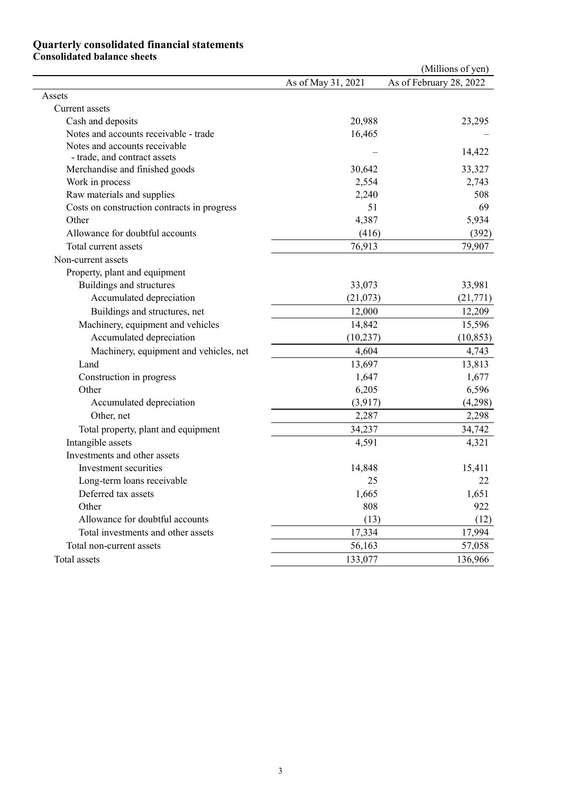### Quarterly consolidated financial statements

### Consolidated balance sheets

| As of February 28, 2022<br>As of May 31, 2021<br>Assets<br>Current assets<br>20,988<br>Cash and deposits<br>Notes and accounts receivable - trade<br>16,465<br>Notes and accounts receivable<br>- trade, and contract assets<br>30,642<br>Merchandise and finished goods<br>2,554<br>Work in process<br>Raw materials and supplies<br>2,240<br>51<br>Costs on construction contracts in progress<br>Other<br>4,387<br>Allowance for doubtful accounts<br>(416)<br>Total current assets<br>76,913<br>Non-current assets<br>Property, plant and equipment<br>33,073<br>Buildings and structures<br>Accumulated depreciation<br>(21,073)<br>Buildings and structures, net<br>12,000<br>Machinery, equipment and vehicles<br>14,842<br>Accumulated depreciation<br>(10, 237)<br>Machinery, equipment and vehicles, net<br>4,604 |           |
|-----------------------------------------------------------------------------------------------------------------------------------------------------------------------------------------------------------------------------------------------------------------------------------------------------------------------------------------------------------------------------------------------------------------------------------------------------------------------------------------------------------------------------------------------------------------------------------------------------------------------------------------------------------------------------------------------------------------------------------------------------------------------------------------------------------------------------|-----------|
|                                                                                                                                                                                                                                                                                                                                                                                                                                                                                                                                                                                                                                                                                                                                                                                                                             |           |
|                                                                                                                                                                                                                                                                                                                                                                                                                                                                                                                                                                                                                                                                                                                                                                                                                             |           |
|                                                                                                                                                                                                                                                                                                                                                                                                                                                                                                                                                                                                                                                                                                                                                                                                                             |           |
|                                                                                                                                                                                                                                                                                                                                                                                                                                                                                                                                                                                                                                                                                                                                                                                                                             | 23,295    |
|                                                                                                                                                                                                                                                                                                                                                                                                                                                                                                                                                                                                                                                                                                                                                                                                                             |           |
|                                                                                                                                                                                                                                                                                                                                                                                                                                                                                                                                                                                                                                                                                                                                                                                                                             | 14,422    |
|                                                                                                                                                                                                                                                                                                                                                                                                                                                                                                                                                                                                                                                                                                                                                                                                                             | 33,327    |
|                                                                                                                                                                                                                                                                                                                                                                                                                                                                                                                                                                                                                                                                                                                                                                                                                             | 2,743     |
|                                                                                                                                                                                                                                                                                                                                                                                                                                                                                                                                                                                                                                                                                                                                                                                                                             | 508       |
|                                                                                                                                                                                                                                                                                                                                                                                                                                                                                                                                                                                                                                                                                                                                                                                                                             | 69        |
|                                                                                                                                                                                                                                                                                                                                                                                                                                                                                                                                                                                                                                                                                                                                                                                                                             | 5,934     |
|                                                                                                                                                                                                                                                                                                                                                                                                                                                                                                                                                                                                                                                                                                                                                                                                                             | (392)     |
|                                                                                                                                                                                                                                                                                                                                                                                                                                                                                                                                                                                                                                                                                                                                                                                                                             | 79,907    |
|                                                                                                                                                                                                                                                                                                                                                                                                                                                                                                                                                                                                                                                                                                                                                                                                                             |           |
|                                                                                                                                                                                                                                                                                                                                                                                                                                                                                                                                                                                                                                                                                                                                                                                                                             |           |
|                                                                                                                                                                                                                                                                                                                                                                                                                                                                                                                                                                                                                                                                                                                                                                                                                             | 33,981    |
|                                                                                                                                                                                                                                                                                                                                                                                                                                                                                                                                                                                                                                                                                                                                                                                                                             | (21, 771) |
|                                                                                                                                                                                                                                                                                                                                                                                                                                                                                                                                                                                                                                                                                                                                                                                                                             | 12,209    |
|                                                                                                                                                                                                                                                                                                                                                                                                                                                                                                                                                                                                                                                                                                                                                                                                                             | 15,596    |
|                                                                                                                                                                                                                                                                                                                                                                                                                                                                                                                                                                                                                                                                                                                                                                                                                             | (10, 853) |
|                                                                                                                                                                                                                                                                                                                                                                                                                                                                                                                                                                                                                                                                                                                                                                                                                             | 4,743     |
| Land<br>13,697                                                                                                                                                                                                                                                                                                                                                                                                                                                                                                                                                                                                                                                                                                                                                                                                              | 13,813    |
| Construction in progress<br>1,647                                                                                                                                                                                                                                                                                                                                                                                                                                                                                                                                                                                                                                                                                                                                                                                           | 1,677     |
| Other<br>6,205                                                                                                                                                                                                                                                                                                                                                                                                                                                                                                                                                                                                                                                                                                                                                                                                              | 6,596     |
| (3,917)<br>Accumulated depreciation                                                                                                                                                                                                                                                                                                                                                                                                                                                                                                                                                                                                                                                                                                                                                                                         | (4,298)   |
| Other, net<br>2,287                                                                                                                                                                                                                                                                                                                                                                                                                                                                                                                                                                                                                                                                                                                                                                                                         | 2,298     |
| Total property, plant and equipment<br>34,237                                                                                                                                                                                                                                                                                                                                                                                                                                                                                                                                                                                                                                                                                                                                                                               | 34,742    |
| Intangible assets<br>4,591                                                                                                                                                                                                                                                                                                                                                                                                                                                                                                                                                                                                                                                                                                                                                                                                  | 4,321     |
| Investments and other assets                                                                                                                                                                                                                                                                                                                                                                                                                                                                                                                                                                                                                                                                                                                                                                                                |           |
| Investment securities<br>14,848                                                                                                                                                                                                                                                                                                                                                                                                                                                                                                                                                                                                                                                                                                                                                                                             | 15,411    |
| 25<br>Long-term loans receivable                                                                                                                                                                                                                                                                                                                                                                                                                                                                                                                                                                                                                                                                                                                                                                                            | 22        |
| Deferred tax assets<br>1,665                                                                                                                                                                                                                                                                                                                                                                                                                                                                                                                                                                                                                                                                                                                                                                                                | 1,651     |
| 808<br>Other                                                                                                                                                                                                                                                                                                                                                                                                                                                                                                                                                                                                                                                                                                                                                                                                                | 922       |
| Allowance for doubtful accounts<br>(13)                                                                                                                                                                                                                                                                                                                                                                                                                                                                                                                                                                                                                                                                                                                                                                                     | (12)      |
| 17,334<br>Total investments and other assets                                                                                                                                                                                                                                                                                                                                                                                                                                                                                                                                                                                                                                                                                                                                                                                | 17,994    |
| 56,163<br>Total non-current assets                                                                                                                                                                                                                                                                                                                                                                                                                                                                                                                                                                                                                                                                                                                                                                                          | 57,058    |
| Total assets<br>133,077                                                                                                                                                                                                                                                                                                                                                                                                                                                                                                                                                                                                                                                                                                                                                                                                     | 136,966   |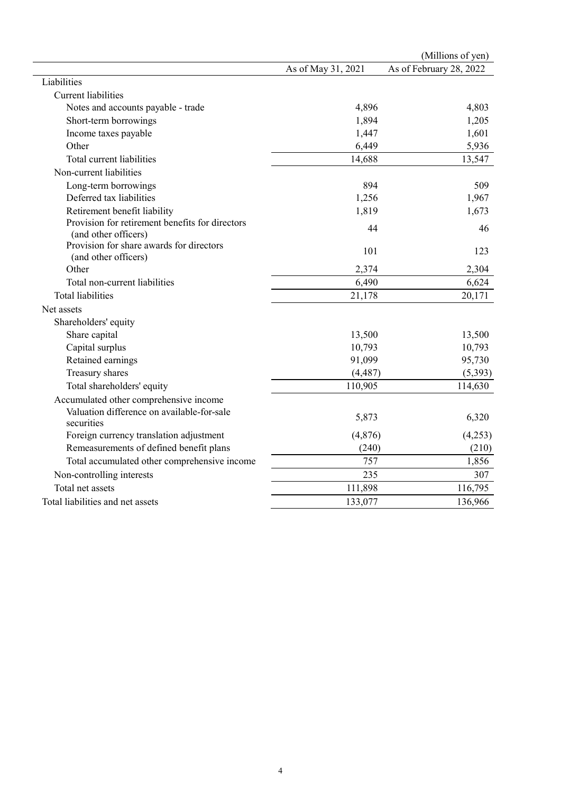|                                                                         |                    | (Millions of yen)       |
|-------------------------------------------------------------------------|--------------------|-------------------------|
|                                                                         | As of May 31, 2021 | As of February 28, 2022 |
| Liabilities                                                             |                    |                         |
| <b>Current liabilities</b>                                              |                    |                         |
| Notes and accounts payable - trade                                      | 4,896              | 4,803                   |
| Short-term borrowings                                                   | 1,894              | 1,205                   |
| Income taxes payable                                                    | 1,447              | 1,601                   |
| Other                                                                   | 6,449              | 5,936                   |
| Total current liabilities                                               | 14,688             | 13,547                  |
| Non-current liabilities                                                 |                    |                         |
| Long-term borrowings                                                    | 894                | 509                     |
| Deferred tax liabilities                                                | 1,256              | 1,967                   |
| Retirement benefit liability                                            | 1,819              | 1,673                   |
| Provision for retirement benefits for directors<br>(and other officers) | 44                 | 46                      |
| Provision for share awards for directors<br>(and other officers)        | 101                | 123                     |
| Other                                                                   | 2,374              | 2,304                   |
| Total non-current liabilities                                           | 6,490              | 6,624                   |
| <b>Total liabilities</b>                                                | 21,178             | 20,171                  |
| Net assets                                                              |                    |                         |
| Shareholders' equity                                                    |                    |                         |
| Share capital                                                           | 13,500             | 13,500                  |
| Capital surplus                                                         | 10,793             | 10,793                  |
| Retained earnings                                                       | 91,099             | 95,730                  |
| Treasury shares                                                         | (4, 487)           | (5, 393)                |
| Total shareholders' equity                                              | 110,905            | 114,630                 |
| Accumulated other comprehensive income                                  |                    |                         |
| Valuation difference on available-for-sale<br>securities                | 5,873              | 6,320                   |
| Foreign currency translation adjustment                                 | (4,876)            | (4,253)                 |
| Remeasurements of defined benefit plans                                 | (240)              | (210)                   |
| Total accumulated other comprehensive income                            | 757                | 1,856                   |
| Non-controlling interests                                               | 235                | 307                     |
| Total net assets                                                        | 111,898            | 116,795                 |
| Total liabilities and net assets                                        | 133,077            | 136,966                 |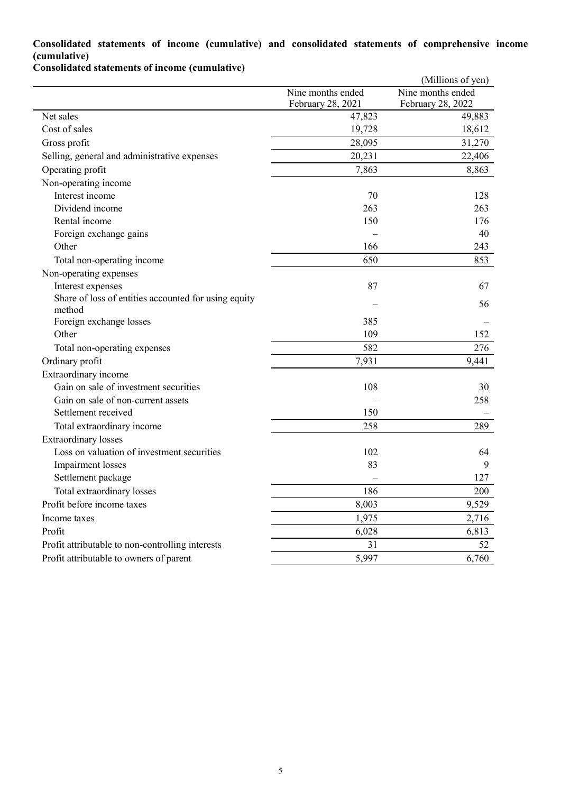## Consolidated statements of income (cumulative) and consolidated statements of comprehensive income (cumulative)

Consolidated statements of income (cumulative)

|                                                                |                                        | (Millions of yen)                      |
|----------------------------------------------------------------|----------------------------------------|----------------------------------------|
|                                                                | Nine months ended<br>February 28, 2021 | Nine months ended<br>February 28, 2022 |
| Net sales                                                      | 47,823                                 | 49,883                                 |
| Cost of sales                                                  | 19,728                                 | 18,612                                 |
| Gross profit                                                   | 28,095                                 | 31,270                                 |
| Selling, general and administrative expenses                   | 20,231                                 | 22,406                                 |
| Operating profit                                               | 7,863                                  | 8,863                                  |
| Non-operating income                                           |                                        |                                        |
| Interest income                                                | 70                                     | 128                                    |
| Dividend income                                                | 263                                    | 263                                    |
| Rental income                                                  | 150                                    | 176                                    |
| Foreign exchange gains                                         |                                        | 40                                     |
| Other                                                          | 166                                    | 243                                    |
| Total non-operating income                                     | 650                                    | 853                                    |
| Non-operating expenses                                         |                                        |                                        |
| Interest expenses                                              | 87                                     | 67                                     |
| Share of loss of entities accounted for using equity<br>method |                                        | 56                                     |
| Foreign exchange losses                                        | 385                                    |                                        |
| Other                                                          | 109                                    | 152                                    |
| Total non-operating expenses                                   | 582                                    | 276                                    |
| Ordinary profit                                                | 7,931                                  | 9,441                                  |
| Extraordinary income                                           |                                        |                                        |
| Gain on sale of investment securities                          | 108                                    | 30                                     |
| Gain on sale of non-current assets                             |                                        | 258                                    |
| Settlement received                                            | 150                                    |                                        |
| Total extraordinary income                                     | 258                                    | 289                                    |
| <b>Extraordinary</b> losses                                    |                                        |                                        |
| Loss on valuation of investment securities                     | 102                                    | 64                                     |
| Impairment losses                                              | 83                                     | 9                                      |
| Settlement package                                             |                                        | 127                                    |
| Total extraordinary losses                                     | 186                                    | 200                                    |
| Profit before income taxes                                     | 8,003                                  | 9,529                                  |
| Income taxes                                                   | 1,975                                  | 2,716                                  |
| Profit                                                         | 6,028                                  | 6,813                                  |
| Profit attributable to non-controlling interests               | 31                                     | 52                                     |
| Profit attributable to owners of parent                        | 5,997                                  | 6,760                                  |
|                                                                |                                        |                                        |